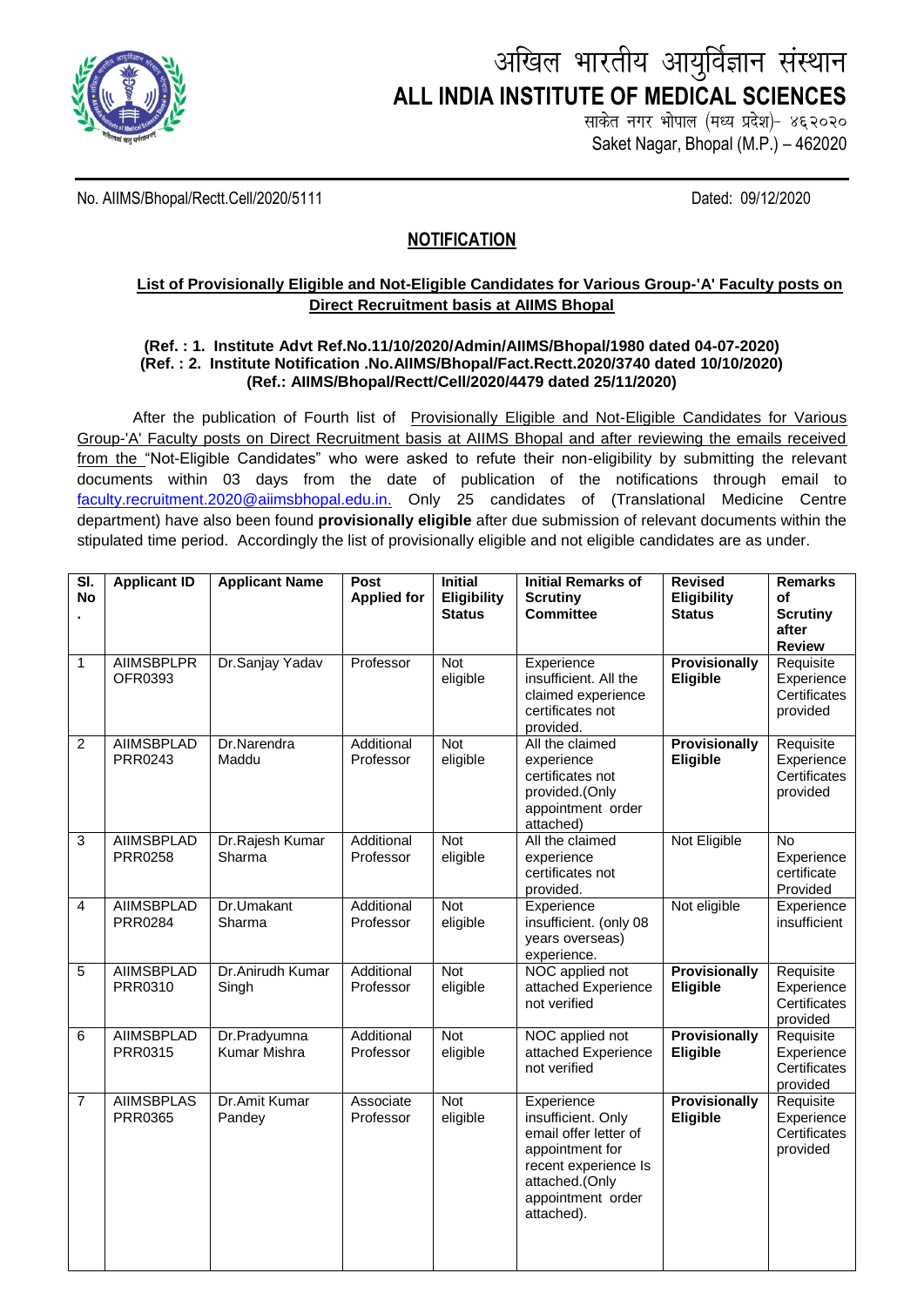

# अखिल भारतीय आयुर्विज्ञान संस्थान **ALL INDIA INSTITUTE OF MEDICAL SCIENCES**

साकेत नगर भोपाल (मध्य प्रदेश)- ४६२०२० Saket Nagar, Bhopal (M.P.) – 462020

No. AIIMS/Bhopal/Rectt.Cell/2020/5111 Dated: 09/12/2020

# **NOTIFICATION**

## **List of Provisionally Eligible and Not-Eligible Candidates for Various Group-'A' Faculty posts on Direct Recruitment basis at AIIMS Bhopal**

#### **(Ref. : 1. Institute Advt Ref.No.11/10/2020/Admin/AIIMS/Bhopal/1980 dated 04-07-2020) (Ref. : 2. Institute Notification .No.AIIMS/Bhopal/Fact.Rectt.2020/3740 dated 10/10/2020) (Ref.: AIIMS/Bhopal/Rectt/Cell/2020/4479 dated 25/11/2020)**

After the publication of Fourth list of Provisionally Eligible and Not-Eligible Candidates for Various Group-'A' Faculty posts on Direct Recruitment basis at AIIMS Bhopal and after reviewing the emails received from the "Not-Eligible Candidates" who were asked to refute their non-eligibility by submitting the relevant documents within 03 days from the date of publication of the notifications through email to [faculty.recruitment.2020@aiimsbhopal.edu.in.](mailto:faculty.recruitment.2020@aiimsbhopal.edu.in) Only 25 candidates of (Translational Medicine Centre department) have also been found **provisionally eligible** after due submission of relevant documents within the stipulated time period. Accordingly the list of provisionally eligible and not eligible candidates are as under.

| SI.<br><b>No</b> | <b>Applicant ID</b>                 | <b>Applicant Name</b>        | Post<br><b>Applied for</b> | <b>Initial</b><br><b>Eligibility</b><br><b>Status</b> | <b>Initial Remarks of</b><br><b>Scrutiny</b><br><b>Committee</b>                                                                                          | <b>Revised</b><br><b>Eligibility</b><br><b>Status</b> | <b>Remarks</b><br>of<br><b>Scrutiny</b><br>after<br><b>Review</b> |
|------------------|-------------------------------------|------------------------------|----------------------------|-------------------------------------------------------|-----------------------------------------------------------------------------------------------------------------------------------------------------------|-------------------------------------------------------|-------------------------------------------------------------------|
| 1                | <b>AIIMSBPLPR</b><br>OFR0393        | Dr.Sanjay Yadav              | Professor                  | $\overline{\text{Not}}$<br>eligible                   | Experience<br>insufficient. All the<br>claimed experience<br>certificates not<br>provided.                                                                | <b>Provisionally</b><br>Eligible                      | Requisite<br>Experience<br>Certificates<br>provided               |
| $\overline{2}$   | <b>AIIMSBPLAD</b><br>PRR0243        | Dr.Narendra<br>Maddu         | Additional<br>Professor    | <b>Not</b><br>eligible                                | All the claimed<br>experience<br>certificates not<br>provided.(Only<br>appointment order<br>attached)                                                     | <b>Provisionally</b><br>Eligible                      | Requisite<br>Experience<br>Certificates<br>provided               |
| $\overline{3}$   | <b>AIIMSBPLAD</b><br><b>PRR0258</b> | Dr.Rajesh Kumar<br>Sharma    | Additional<br>Professor    | <b>Not</b><br>eligible                                | All the claimed<br>experience<br>certificates not<br>provided.                                                                                            | Not Eligible                                          | <b>No</b><br>Experience<br>certificate<br>Provided                |
| 4                | <b>AIIMSBPLAD</b><br>PRR0284        | Dr.Umakant<br>Sharma         | Additional<br>Professor    | <b>Not</b><br>eligible                                | Experience<br>insufficient. (only 08<br>years overseas)<br>experience.                                                                                    | Not eligible                                          | Experience<br>insufficient                                        |
| $\overline{5}$   | <b>AIIMSBPLAD</b><br>PRR0310        | Dr.Anirudh Kumar<br>Singh    | Additional<br>Professor    | <b>Not</b><br>eligible                                | NOC applied not<br>attached Experience<br>not verified                                                                                                    | <b>Provisionally</b><br>Eligible                      | Requisite<br>Experience<br>Certificates<br>provided               |
| 6                | <b>AIIMSBPLAD</b><br>PRR0315        | Dr.Pradyumna<br>Kumar Mishra | Additional<br>Professor    | Not<br>eligible                                       | NOC applied not<br>attached Experience<br>not verified                                                                                                    | <b>Provisionally</b><br>Eligible                      | Requisite<br>Experience<br>Certificates<br>provided               |
| $\overline{7}$   | <b>AIIMSBPLAS</b><br>PRR0365        | Dr.Amit Kumar<br>Pandey      | Associate<br>Professor     | Not<br>eligible                                       | Experience<br>insufficient. Only<br>email offer letter of<br>appointment for<br>recent experience Is<br>attached.(Only<br>appointment order<br>attached). | <b>Provisionally</b><br>Eligible                      | Requisite<br>Experience<br>Certificates<br>provided               |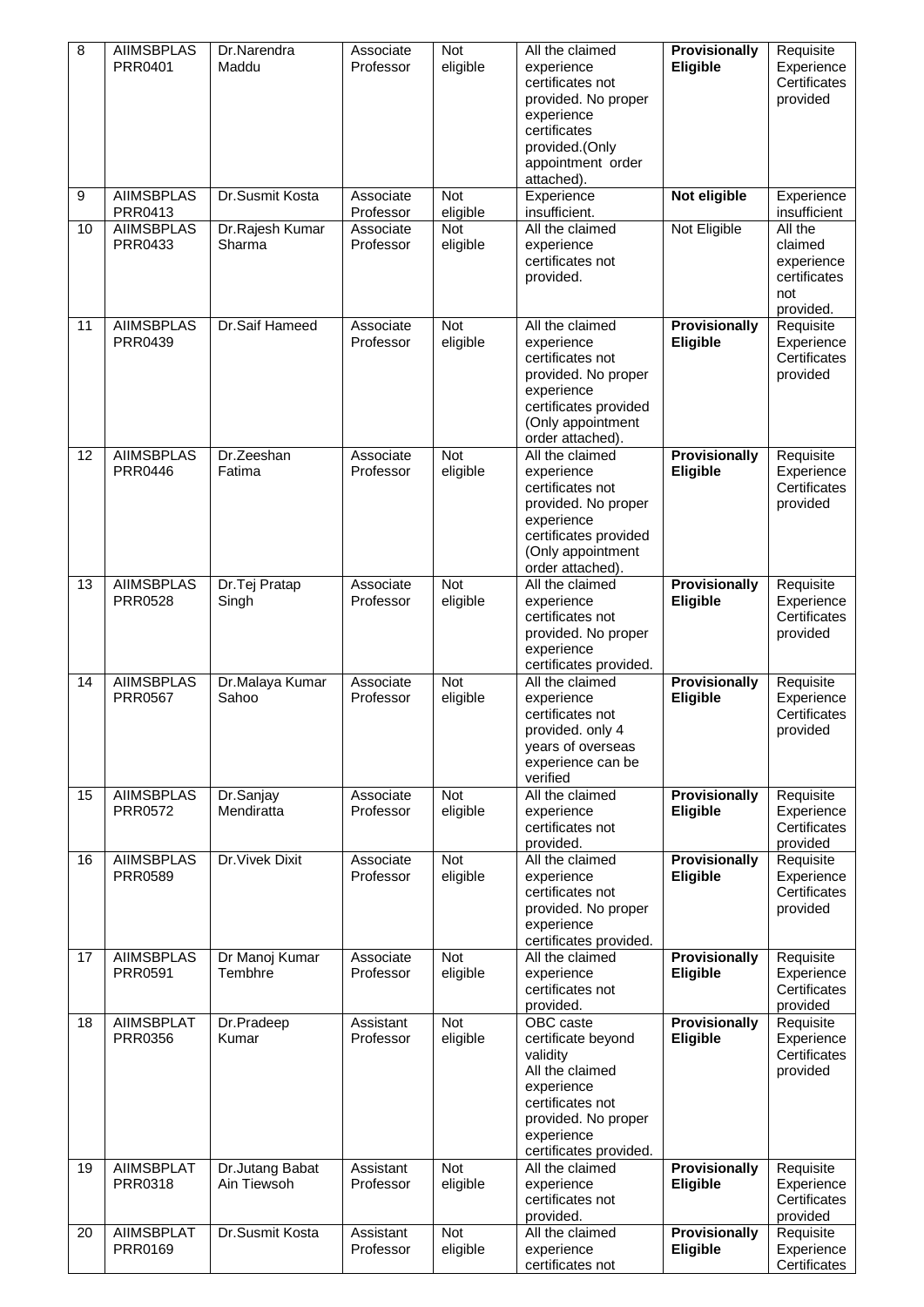| 8  | <b>AIIMSBPLAS</b><br>PRR0401        | Dr.Narendra<br>Maddu<br>Dr.Susmit Kosta | Associate<br>Professor | Not<br>eligible        | All the claimed<br>experience<br>certificates not<br>provided. No proper<br>experience<br>certificates<br>provided.(Only<br>appointment order<br>attached).     | <b>Provisionally</b><br>Eligible | Requisite<br>Experience<br>Certificates<br>provided                  |
|----|-------------------------------------|-----------------------------------------|------------------------|------------------------|-----------------------------------------------------------------------------------------------------------------------------------------------------------------|----------------------------------|----------------------------------------------------------------------|
| 9  | <b>AIIMSBPLAS</b><br>PRR0413        |                                         | Associate<br>Professor | Not<br>eligible        | Experience<br>insufficient.                                                                                                                                     | Not eligible                     | Experience<br>insufficient                                           |
| 10 | <b>AIIMSBPLAS</b><br>PRR0433        | Dr.Rajesh Kumar<br>Sharma               | Associate<br>Professor | Not<br>eligible        | All the claimed<br>experience<br>certificates not<br>provided.                                                                                                  | Not Eligible                     | All the<br>claimed<br>experience<br>certificates<br>not<br>provided. |
| 11 | <b>AIIMSBPLAS</b><br>PRR0439        | Dr.Saif Hameed                          | Associate<br>Professor | Not<br>eligible        | All the claimed<br>experience<br>certificates not<br>provided. No proper<br>experience<br>certificates provided<br>(Only appointment<br>order attached).        | <b>Provisionally</b><br>Eligible | Requisite<br>Experience<br>Certificates<br>provided                  |
| 12 | <b>AIIMSBPLAS</b><br><b>PRR0446</b> | Dr.Zeeshan<br>Fatima                    | Associate<br>Professor | Not<br>eligible        | All the claimed<br>experience<br>certificates not<br>provided. No proper<br>experience<br>certificates provided<br>(Only appointment<br>order attached).        | <b>Provisionally</b><br>Eligible | Requisite<br>Experience<br>Certificates<br>provided                  |
| 13 | <b>AIIMSBPLAS</b><br>PRR0528        | Dr.Tej Pratap<br>Singh                  | Associate<br>Professor | <b>Not</b><br>eligible | All the claimed<br>experience<br>certificates not<br>provided. No proper<br>experience<br>certificates provided.                                                | <b>Provisionally</b><br>Eligible | Requisite<br>Experience<br>Certificates<br>provided                  |
| 14 | <b>AIIMSBPLAS</b><br>PRR0567        | Dr.Malaya Kumar<br>Sahoo                | Associate<br>Professor | <b>Not</b><br>eligible | All the claimed<br>experience<br>certificates not<br>provided. only 4<br>years of overseas<br>experience can be<br>verified                                     | Provisionally<br>Eligible        | Requisite<br>Experience<br>Certificates<br>provided                  |
| 15 | <b>AIIMSBPLAS</b><br><b>PRR0572</b> | Dr.Sanjay<br>Mendiratta                 | Associate<br>Professor | Not<br>eligible        | All the claimed<br>experience<br>certificates not<br>provided.                                                                                                  | <b>Provisionally</b><br>Eligible | Requisite<br>Experience<br>Certificates<br>provided                  |
| 16 | <b>AIIMSBPLAS</b><br><b>PRR0589</b> | Dr. Vivek Dixit                         | Associate<br>Professor | <b>Not</b><br>eligible | All the claimed<br>experience<br>certificates not<br>provided. No proper<br>experience<br>certificates provided.                                                | Provisionally<br>Eligible        | Requisite<br>Experience<br>Certificates<br>provided                  |
| 17 | <b>AIIMSBPLAS</b><br>PRR0591        | Dr Manoj Kumar<br>Tembhre               | Associate<br>Professor | Not<br>eligible        | All the claimed<br>experience<br>certificates not<br>provided.                                                                                                  | Provisionally<br>Eligible        | Requisite<br>Experience<br>Certificates<br>provided                  |
| 18 | <b>AIIMSBPLAT</b><br>PRR0356        | Dr.Pradeep<br>Kumar                     | Assistant<br>Professor | <b>Not</b><br>eligible | OBC caste<br>certificate beyond<br>validity<br>All the claimed<br>experience<br>certificates not<br>provided. No proper<br>experience<br>certificates provided. | <b>Provisionally</b><br>Eligible | Requisite<br>Experience<br>Certificates<br>provided                  |
| 19 | <b>AIIMSBPLAT</b><br>PRR0318        | Dr.Jutang Babat<br>Ain Tiewsoh          | Assistant<br>Professor | Not<br>eligible        | All the claimed<br>experience<br>certificates not<br>provided.                                                                                                  | Provisionally<br>Eligible        | Requisite<br>Experience<br>Certificates<br>provided                  |
| 20 | <b>AIIMSBPLAT</b><br>PRR0169        | Dr.Susmit Kosta                         | Assistant<br>Professor | <b>Not</b><br>eligible | All the claimed<br>experience<br>certificates not                                                                                                               | <b>Provisionally</b><br>Eligible | Requisite<br>Experience<br>Certificates                              |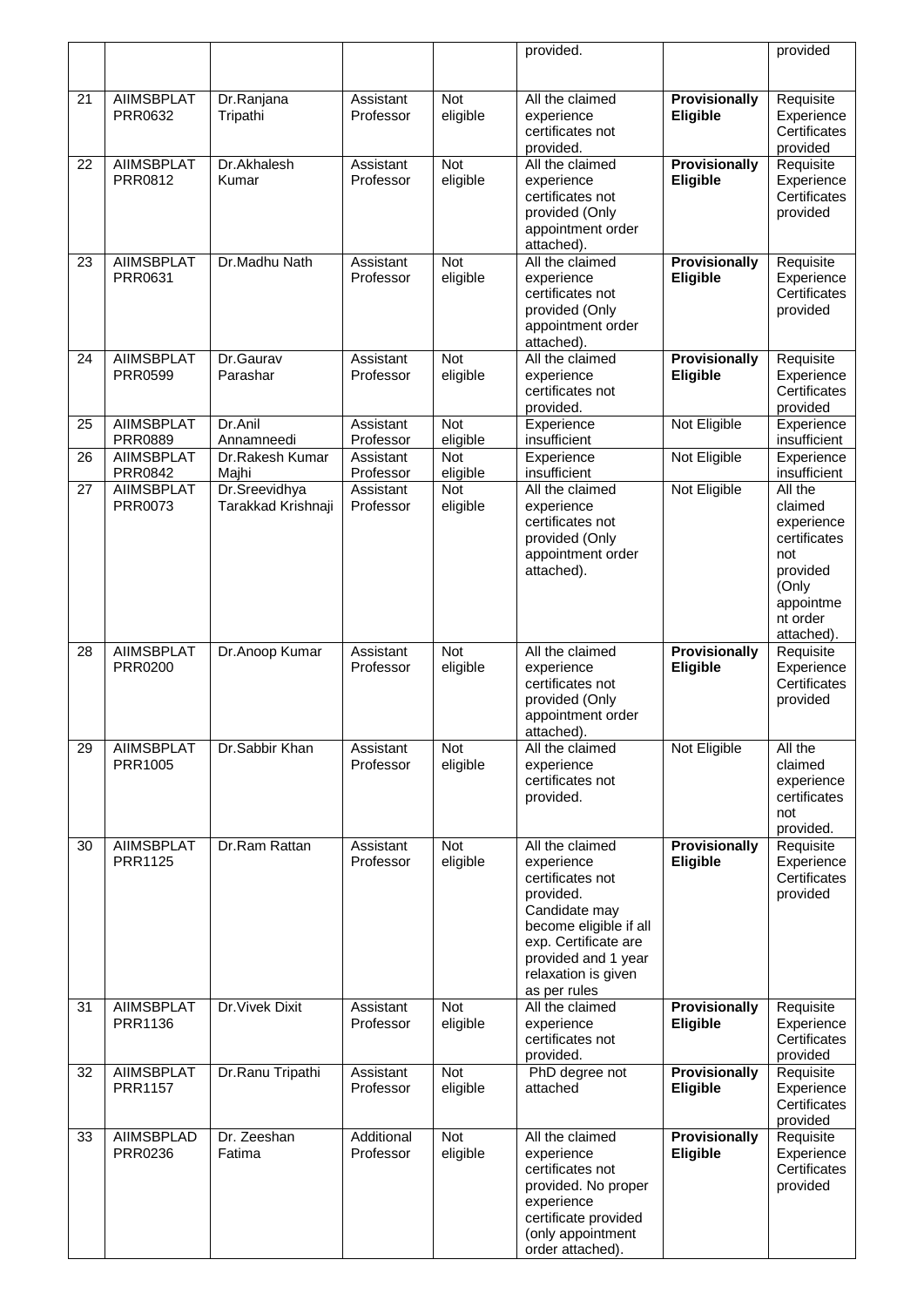|    |                                     |                        |                         |                        | provided.                                                                                                                                                                                       |                                  | provided                                                                                                 |
|----|-------------------------------------|------------------------|-------------------------|------------------------|-------------------------------------------------------------------------------------------------------------------------------------------------------------------------------------------------|----------------------------------|----------------------------------------------------------------------------------------------------------|
|    |                                     |                        |                         |                        |                                                                                                                                                                                                 |                                  |                                                                                                          |
| 21 | <b>AIIMSBPLAT</b><br>PRR0632        | Dr.Ranjana<br>Tripathi | Assistant<br>Professor  | Not<br>eligible        | All the claimed<br>experience<br>certificates not<br>provided.                                                                                                                                  | Provisionally<br>Eligible        | Requisite<br>Experience<br>Certificates<br>provided                                                      |
| 22 | <b>AIIMSBPLAT</b><br>PRR0812        | Dr.Akhalesh<br>Kumar   | Assistant<br>Professor  | Not<br>eligible        | All the claimed<br>experience<br>certificates not<br>provided (Only<br>appointment order<br>attached).                                                                                          | <b>Provisionally</b><br>Eligible | Requisite<br>Experience<br>Certificates<br>provided                                                      |
| 23 | <b>AIIMSBPLAT</b><br>PRR0631        | Dr.Madhu Nath          | Assistant<br>Professor  | Not<br>eligible        | All the claimed<br>experience<br>certificates not<br>provided (Only<br>appointment order<br>attached).                                                                                          | <b>Provisionally</b><br>Eligible | Requisite<br>Experience<br>Certificates<br>provided                                                      |
| 24 | <b>AIIMSBPLAT</b><br>PRR0599        | Dr.Gaurav<br>Parashar  | Assistant<br>Professor  | <b>Not</b><br>eligible | All the claimed<br>experience<br>certificates not<br>provided.                                                                                                                                  | <b>Provisionally</b><br>Eligible | Requisite<br>Experience<br>Certificates<br>provided                                                      |
| 25 | <b>AIIMSBPLAT</b><br><b>PRR0889</b> | Dr.Anil<br>Annamneedi  | Assistant<br>Professor  | <b>Not</b><br>eligible | Experience<br>insufficient                                                                                                                                                                      | Not Eligible                     | Experience<br>insufficient                                                                               |
| 26 | <b>AIIMSBPLAT</b>                   | Dr.Rakesh Kumar        | Assistant               | Not                    | Experience                                                                                                                                                                                      | Not Eligible                     | Experience                                                                                               |
| 27 | PRR0842<br><b>AIIMSBPLAT</b>        | Majhi<br>Dr.Sreevidhya | Professor<br>Assistant  | eligible<br><b>Not</b> | insufficient<br>All the claimed                                                                                                                                                                 | Not Eligible                     | insufficient<br>All the                                                                                  |
|    | PRR0073                             | Tarakkad Krishnaji     | Professor               | eligible               | experience<br>certificates not<br>provided (Only<br>appointment order<br>attached).                                                                                                             |                                  | claimed<br>experience<br>certificates<br>not<br>provided<br>(Only<br>appointme<br>nt order<br>attached). |
| 28 | <b>AIIMSBPLAT</b><br><b>PRR0200</b> | Dr.Anoop Kumar         | Assistant<br>Professor  | Not<br>eligible        | All the claimed<br>experience<br>certificates not<br>provided (Only<br>appointment order<br>attached).                                                                                          | Provisionally<br>Eligible        | Requisite<br>Experience<br>Certificates<br>provided                                                      |
| 29 | <b>AIIMSBPLAT</b><br>PRR1005        | Dr.Sabbir Khan         | Assistant<br>Professor  | Not<br>eligible        | All the claimed<br>experience<br>certificates not<br>provided.                                                                                                                                  | Not Eligible                     | All the<br>claimed<br>experience<br>certificates<br>not<br>provided.                                     |
| 30 | <b>AIIMSBPLAT</b><br>PRR1125        | Dr.Ram Rattan          | Assistant<br>Professor  | Not<br>eligible        | All the claimed<br>experience<br>certificates not<br>provided.<br>Candidate may<br>become eligible if all<br>exp. Certificate are<br>provided and 1 year<br>relaxation is given<br>as per rules | Provisionally<br>Eligible        | Requisite<br>Experience<br>Certificates<br>provided                                                      |
| 31 | <b>AIIMSBPLAT</b><br>PRR1136        | Dr. Vivek Dixit        | Assistant<br>Professor  | Not<br>eligible        | All the claimed<br>experience<br>certificates not<br>provided.                                                                                                                                  | Provisionally<br>Eligible        | Requisite<br>Experience<br>Certificates<br>provided                                                      |
| 32 | <b>AIIMSBPLAT</b><br>PRR1157        | Dr.Ranu Tripathi       | Assistant<br>Professor  | Not<br>eligible        | PhD degree not<br>attached                                                                                                                                                                      | Provisionally<br>Eligible        | Requisite<br>Experience<br>Certificates<br>provided                                                      |
| 33 | <b>AIIMSBPLAD</b><br>PRR0236        | Dr. Zeeshan<br>Fatima  | Additional<br>Professor | Not<br>eligible        | All the claimed<br>experience<br>certificates not<br>provided. No proper<br>experience<br>certificate provided<br>(only appointment<br>order attached).                                         | Provisionally<br>Eligible        | Requisite<br>Experience<br>Certificates<br>provided                                                      |